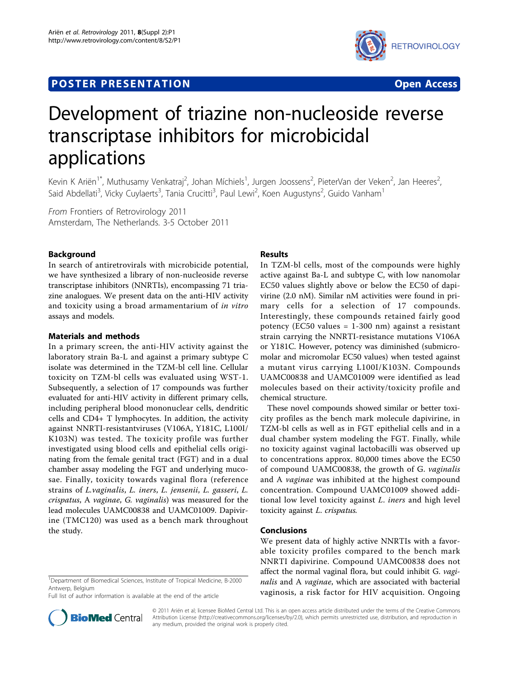## **POSTER PRESENTATION CONSUMING THE SERVICE SERVICE SERVICES**



# Development of triazine non-nucleoside reverse transcriptase inhibitors for microbicidal applications

Kevin K Ariën<sup>1\*</sup>, Muthusamy Venkatraj<sup>2</sup>, Johan Míchiels<sup>1</sup>, Jurgen Joossens<sup>2</sup>, PieterVan der Veken<sup>2</sup>, Jan Heeres<sup>2</sup> , Said Abdellati<sup>3</sup>, Vicky Cuylaerts<sup>3</sup>, Tania Crucitti<sup>3</sup>, Paul Lewi<sup>2</sup>, Koen Augustyns<sup>2</sup>, Guido Vanham<sup>1</sup>

From Frontiers of Retrovirology 2011 Amsterdam, The Netherlands. 3-5 October 2011

## Background

In search of antiretrovirals with microbicide potential, we have synthesized a library of non-nucleoside reverse transcriptase inhibitors (NNRTIs), encompassing 71 triazine analogues. We present data on the anti-HIV activity and toxicity using a broad armamentarium of in vitro assays and models.

## Materials and methods

In a primary screen, the anti-HIV activity against the laboratory strain Ba-L and against a primary subtype C isolate was determined in the TZM-bl cell line. Cellular toxicity on TZM-bl cells was evaluated using WST-1. Subsequently, a selection of 17 compounds was further evaluated for anti-HIV activity in different primary cells, including peripheral blood mononuclear cells, dendritic cells and CD4+ T lymphocytes. In addition, the activity against NNRTI-resistantviruses (V106A, Y181C, L100I/ K103N) was tested. The toxicity profile was further investigated using blood cells and epithelial cells originating from the female genital tract (FGT) and in a dual chamber assay modeling the FGT and underlying mucosae. Finally, toxicity towards vaginal flora (reference strains of L.vaginalis, L. iners, L. jensenii, L. gasseri, L. crispatus, A vaginae, G. vaginalis) was measured for the lead molecules UAMC00838 and UAMC01009. Dapivirine (TMC120) was used as a bench mark throughout the study.

## Results

In TZM-bl cells, most of the compounds were highly active against Ba-L and subtype C, with low nanomolar EC50 values slightly above or below the EC50 of dapivirine (2.0 nM). Similar nM activities were found in primary cells for a selection of 17 compounds. Interestingly, these compounds retained fairly good potency (EC50 values = 1-300 nm) against a resistant strain carrying the NNRTI-resistance mutations V106A or Y181C. However, potency was diminished (submicromolar and micromolar EC50 values) when tested against a mutant virus carrying L100I/K103N. Compounds UAMC00838 and UAMC01009 were identified as lead molecules based on their activity/toxicity profile and chemical structure.

These novel compounds showed similar or better toxicity profiles as the bench mark molecule dapivirine, in TZM-bl cells as well as in FGT epithelial cells and in a dual chamber system modeling the FGT. Finally, while no toxicity against vaginal lactobacilli was observed up to concentrations approx. 80,000 times above the EC50 of compound UAMC00838, the growth of G. vaginalis and A vaginae was inhibited at the highest compound concentration. Compound UAMC01009 showed additional low level toxicity against L. iners and high level toxicity against L. crispatus.

### Conclusions

We present data of highly active NNRTIs with a favorable toxicity profiles compared to the bench mark NNRTI dapivirine. Compound UAMC00838 does not affect the normal vaginal flora, but could inhibit G. vaginalis and A vaginae, which are associated with bacterial vaginosis, a risk factor for HIV acquisition. Ongoing

<sup>1</sup>Department of Biomedical Sciences, Institute of Tropical Medicine, B-2000 Antwerp, Belgium

Full list of author information is available at the end of the article



© 2011 Ariën et al; licensee BioMed Central Ltd. This is an open access article distributed under the terms of the Creative Commons Attribution License [\(http://creativecommons.org/licenses/by/2.0](http://creativecommons.org/licenses/by/2.0)), which permits unrestricted use, distribution, and reproduction in any medium, provided the original work is properly cited.